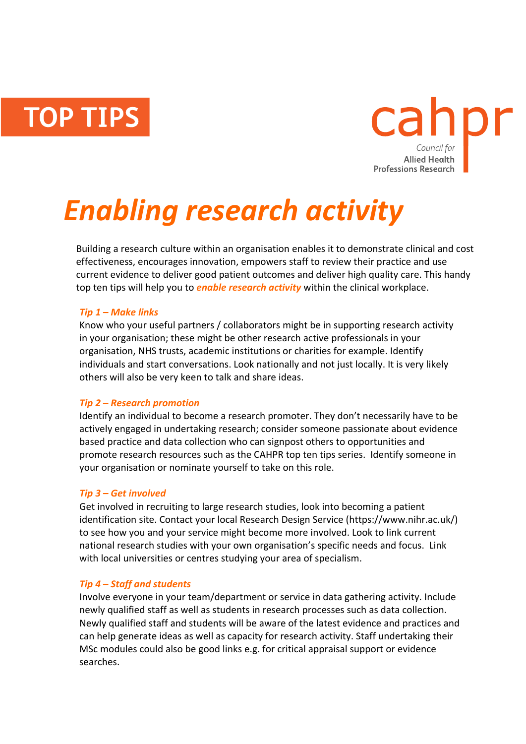**TOP TIPS** 



# *Enabling research activity*

Building a research culture within an organisation enables it to demonstrate clinical and cost effectiveness, encourages innovation, empowers staff to review their practice and use current evidence to deliver good patient outcomes and deliver high quality care. This handy top ten tips will help you to *enable research activity* within the clinical workplace.

## *Tip 1 – Make links*

Know who your useful partners / collaborators might be in supporting research activity in your organisation; these might be other research active professionals in your organisation, NHS trusts, academic institutions or charities for example. Identify individuals and start conversations. Look nationally and not just locally. It is very likely others will also be very keen to talk and share ideas.

## *Tip 2 – Research promotion*

Identify an individual to become a research promoter. They don't necessarily have to be actively engaged in undertaking research; consider someone passionate about evidence based practice and data collection who can signpost others to opportunities and promote research resources such as the CAHPR top ten tips series. Identify someone in your organisation or nominate yourself to take on this role.

## *Tip 3 – Get involved*

Get involved in recruiting to large research studies, look into becoming a patient identification site. Contact your local Research Design Service (https://www.nihr.ac.uk/) to see how you and your service might become more involved. Look to link current national research studies with your own organisation's specific needs and focus. Link with local universities or centres studying your area of specialism.

## *Tip 4 – Staff and students*

Involve everyone in your team/department or service in data gathering activity. Include newly qualified staff as well as students in research processes such as data collection. Newly qualified staff and students will be aware of the latest evidence and practices and can help generate ideas as well as capacity for research activity. Staff undertaking their MSc modules could also be good links e.g. for critical appraisal support or evidence searches.